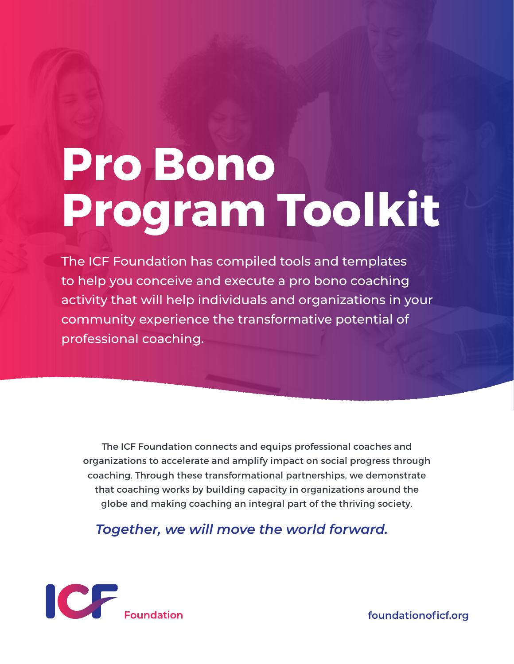## **Pro Bono Program Toolkit**

The ICF Foundation has compiled tools and templates to help you conceive and execute a pro bono coaching activity that will help individuals and organizations in your community experience the transformative potential of professional coaching.

The ICF Foundation connects and equips professional coaches and organizations to accelerate and amplify impact on social progress through coaching. Through these transformational partnerships, we demonstrate that coaching works by building capacity in organizations around the globe and making coaching an integral part of the thriving society.

*Together, we will move the world forward.*



**foundationoficf.org**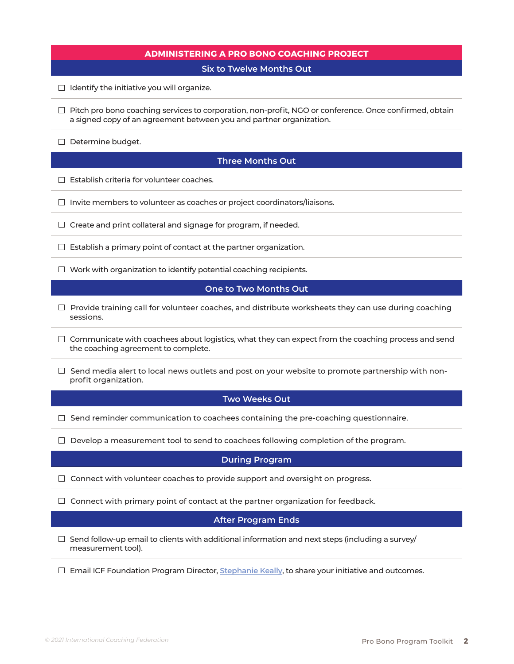| <b>ADMINISTERING A PRO BONO COACHING PROJECT</b>                                                                                                                                     |
|--------------------------------------------------------------------------------------------------------------------------------------------------------------------------------------|
| <b>Six to Twelve Months Out</b>                                                                                                                                                      |
| $\Box$ Identify the initiative you will organize.                                                                                                                                    |
| $\Box$ Pitch pro bono coaching services to corporation, non-profit, NGO or conference. Once confirmed, obtain<br>a signed copy of an agreement between you and partner organization. |
| $\Box$ Determine budget.                                                                                                                                                             |
| <b>Three Months Out</b>                                                                                                                                                              |
| $\Box$ Establish criteria for volunteer coaches.                                                                                                                                     |
| $\Box$ Invite members to volunteer as coaches or project coordinators/liaisons.                                                                                                      |
| $\Box$ Create and print collateral and signage for program, if needed.                                                                                                               |
| $\Box$ Establish a primary point of contact at the partner organization.                                                                                                             |
| $\Box$ Work with organization to identify potential coaching recipients.                                                                                                             |
| One to Two Months Out                                                                                                                                                                |
| $\Box$ Provide training call for volunteer coaches, and distribute worksheets they can use during coaching<br>sessions.                                                              |
| $\Box$ Communicate with coachees about logistics, what they can expect from the coaching process and send<br>the coaching agreement to complete.                                     |
| Send media alert to local news outlets and post on your website to promote partnership with non-<br>profit organization.                                                             |
| <b>Two Weeks Out</b>                                                                                                                                                                 |
| $\Box$ Send reminder communication to coachees containing the pre-coaching questionnaire.                                                                                            |
| Develop a measurement tool to send to coachees following completion of the program.                                                                                                  |
| <b>During Program</b>                                                                                                                                                                |
| Connect with volunteer coaches to provide support and oversight on progress.                                                                                                         |
| Connect with primary point of contact at the partner organization for feedback.                                                                                                      |
| <b>After Program Ends</b>                                                                                                                                                            |
| Send follow-up email to clients with additional information and next steps (including a survey/<br>measurement tool).                                                                |
| Email ICF Foundation Program Director, Stephanie Keally, to share your initiative and outcomes.                                                                                      |